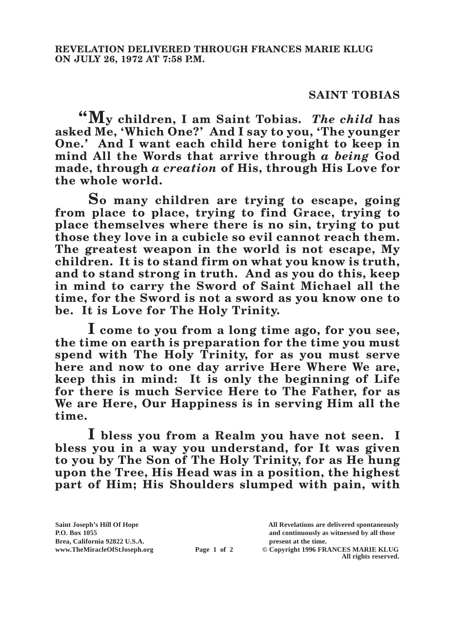## **SAINT TOBIAS**

**"My children, I am Saint Tobias.** *The child* **has asked Me, 'Which One?' And I say to you, 'The younger One.' And I want each child here tonight to keep in mind All the Words that arrive through** *a being* **God made, through** *a creation* **of His, through His Love for the whole world.**

**So many children are trying to escape, going from place to place, trying to find Grace, trying to place themselves where there is no sin, trying to put those they love in a cubicle so evil cannot reach them. The greatest weapon in the world is not escape, My children. It is to stand firm on what you know is truth, and to stand strong in truth. And as you do this, keep in mind to carry the Sword of Saint Michael all the time, for the Sword is not a sword as you know one to be. It is Love for The Holy Trinity.**

**I come to you from a long time ago, for you see, the time on earth is preparation for the time you must spend with The Holy Trinity, for as you must serve here and now to one day arrive Here Where We are, keep this in mind: It is only the beginning of Life for there is much Service Here to The Father, for as We are Here, Our Happiness is in serving Him all the time.**

**I bless you from a Realm you have not seen. I bless you in a way you understand, for It was given to you by The Son of The Holy Trinity, for as He hung upon the Tree, His Head was in a position, the highest part of Him; His Shoulders slumped with pain, with** 

**Page 1 of 2** © Copyright 1996 FRANCES MARIE KLUG **All rights reserved.**